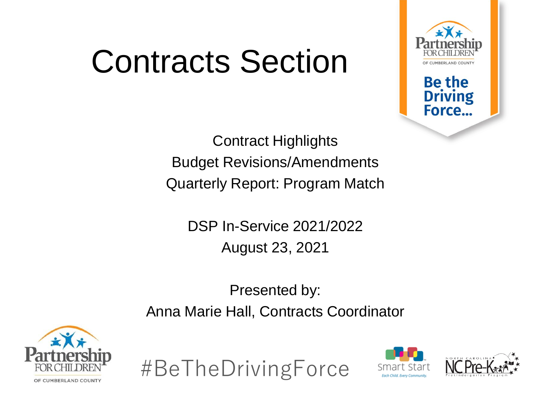### Contracts Section



**Be the** 

**Driving** Force...

Contract Highlights Budget Revisions/Amendments Quarterly Report: Program Match

> DSP In-Service 2021/2022 August 23, 2021

Presented by: Anna Marie Hall, Contracts Coordinator





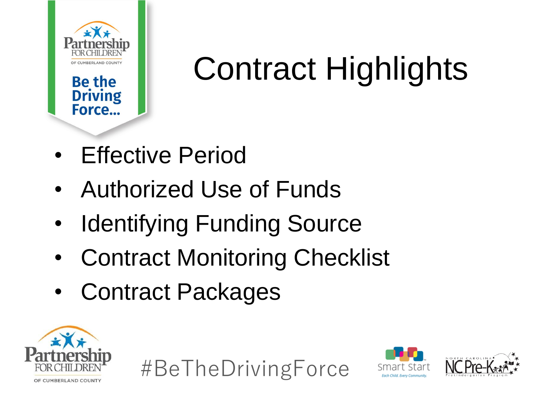

# Contract Highlights

- Effective Period
- Authorized Use of Funds
- **Identifying Funding Source**
- Contract Monitoring Checklist
- Contract Packages







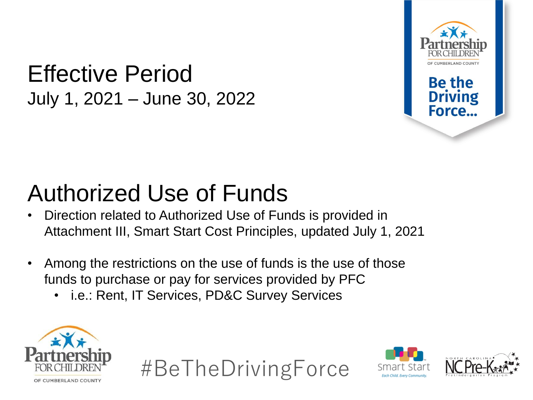#### Effective Period July 1, 2021 – June 30, 2022



Force.

#### Authorized Use of Funds

- Direction related to Authorized Use of Funds is provided in Attachment III, Smart Start Cost Principles, updated July 1, 2021
- Among the restrictions on the use of funds is the use of those funds to purchase or pay for services provided by PFC
	- i.e.: Rent, IT Services, PD&C Survey Services







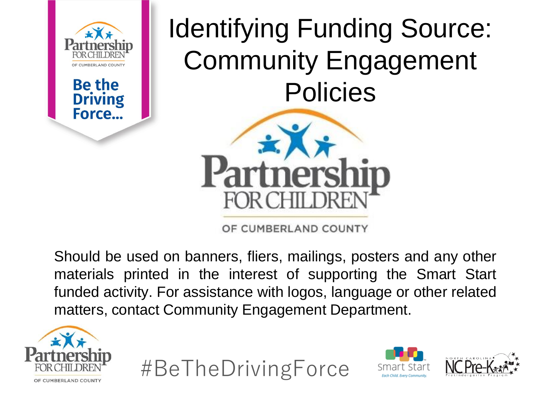

**Be the** 

**Driving** Force...

Identifying Funding Source: Community Engagement Policies



OF CUMBERLAND COUNTY

Should be used on banners, fliers, mailings, posters and any other materials printed in the interest of supporting the Smart Start funded activity. For assistance with logos, language or other related matters, contact Community Engagement Department.





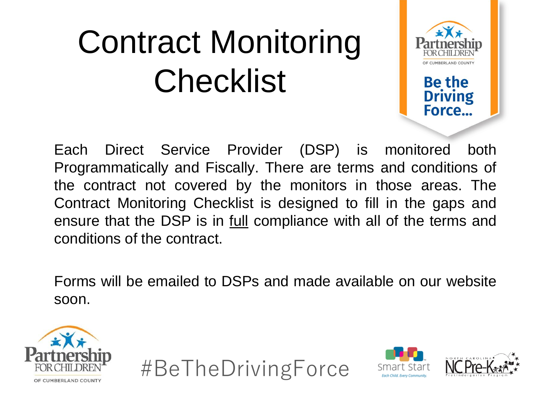# Contract Monitoring **Checklist**



**Driving** Force...

Each Direct Service Provider (DSP) is monitored both Programmatically and Fiscally. There are terms and conditions of the contract not covered by the monitors in those areas. The Contract Monitoring Checklist is designed to fill in the gaps and ensure that the DSP is in full compliance with all of the terms and conditions of the contract.

Forms will be emailed to DSPs and made available on our website soon.







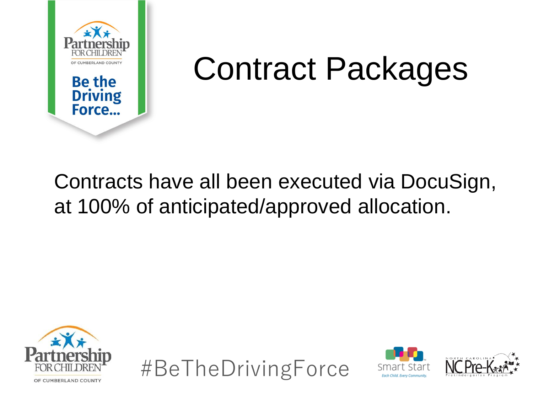

#### Contract Packages

#### Contracts have all been executed via DocuSign, at 100% of anticipated/approved allocation.





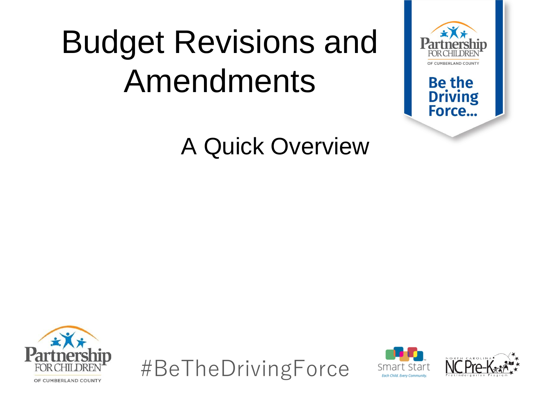## Budget Revisions and Amendments

#### A Quick Overview



#BeTheDrivingForce





**Be the Driving** Force...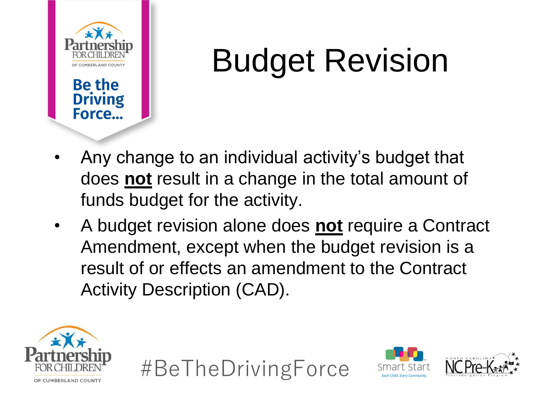

# Budget Revision

- Any change to an individual activity's budget that does **not** result in a change in the total amount of funds budget for the activity.
- A budget revision alone does **not** require a Contract Amendment, except when the budget revision is a result of or effects an amendment to the Contract Activity Description (CAD).





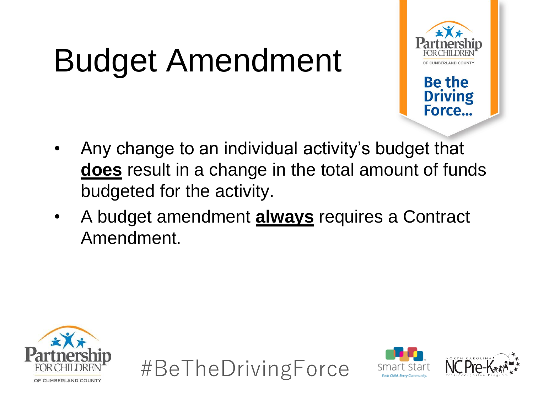# Budget Amendment



**Be the** 

**Driving** Force...

- Any change to an individual activity's budget that **does** result in a change in the total amount of funds budgeted for the activity.
- A budget amendment **always** requires a Contract Amendment.







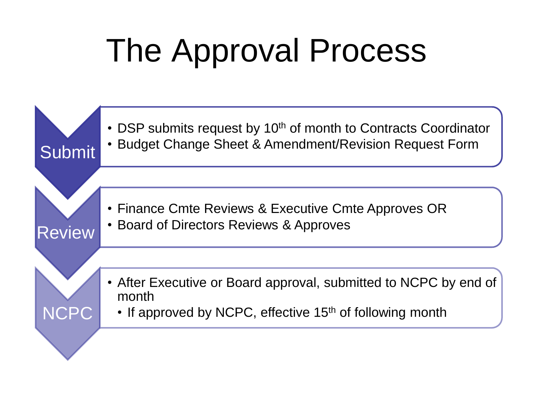## The Approval Process

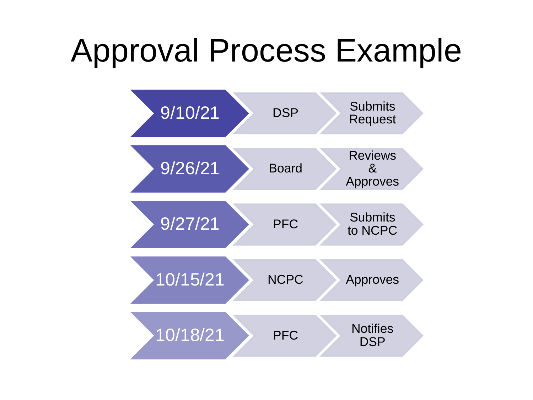#### Approval Process Example

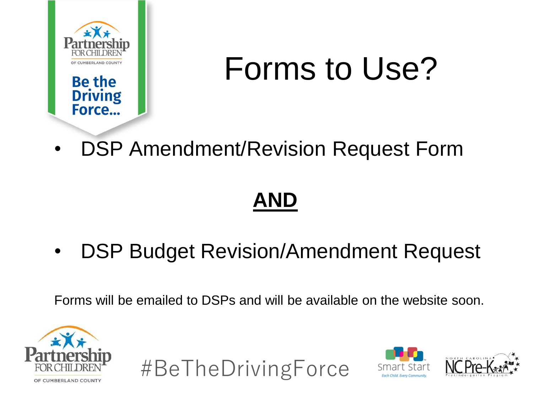

## Forms to Use?

• DSP Amendment/Revision Request Form

#### **AND**

• DSP Budget Revision/Amendment Request

Forms will be emailed to DSPs and will be available on the website soon.





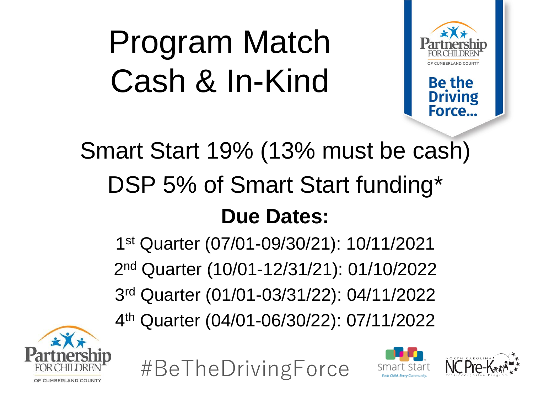# Program Match Cash & In-Kind



**Be the Driving** Force.

#### Smart Start 19% (13% must be cash) DSP 5% of Smart Start funding\* **Due Dates:**

 st Quarter (07/01-09/30/21): 10/11/2021 nd Quarter (10/01-12/31/21): 01/10/2022 rd Quarter (01/01-03/31/22): 04/11/2022 th Quarter (04/01-06/30/22): 07/11/2022





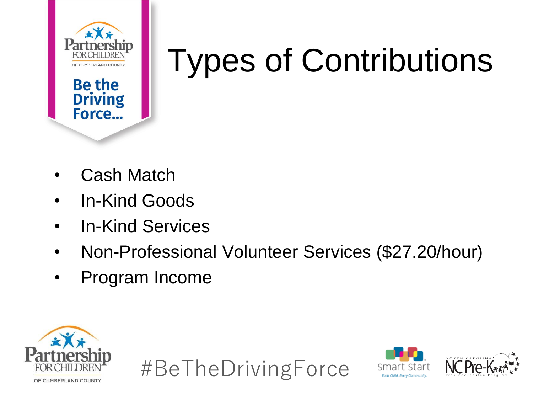

**Be the** 

**Driving** Force...

## Types of Contributions

- Cash Match
- In-Kind Goods
- In-Kind Services
- Non-Professional Volunteer Services (\$27.20/hour)
- Program Income





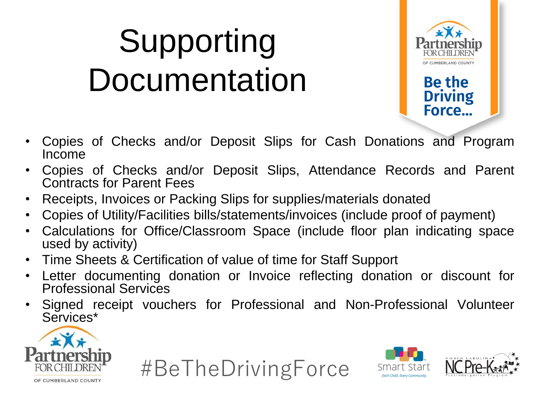# Supporting **Documentation**



**Driving** Force...

- Copies of Checks and/or Deposit Slips for Cash Donations and Program Income
- Copies of Checks and/or Deposit Slips, Attendance Records and Parent Contracts for Parent Fees
- Receipts, Invoices or Packing Slips for supplies/materials donated
- Copies of Utility/Facilities bills/statements/invoices (include proof of payment)
- Calculations for Office/Classroom Space (include floor plan indicating space used by activity)
- Time Sheets & Certification of value of time for Staff Support
- Letter documenting donation or Invoice reflecting donation or discount for Professional Services
- Signed receipt vouchers for Professional and Non-Professional Volunteer Services\*





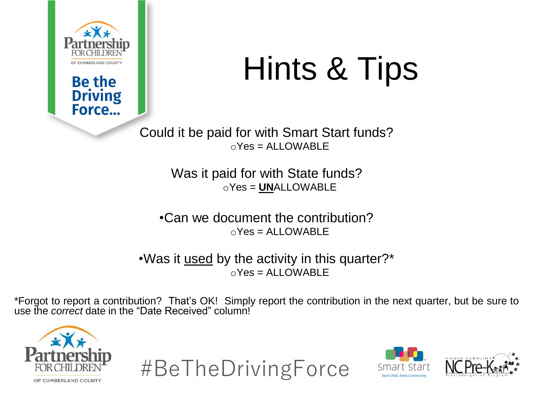

**Be the Driving** Force...

### Hints & Tips

Could it be paid for with Smart Start funds?  $oYes = ALLOWABLE$ 

> Was it paid for with State funds? oYes = **UN**ALLOWABLE

•Can we document the contribution?  $oYes = ALLOWABLE$ 

•Was it used by the activity in this quarter?\*  $oYes = ALLOWABLE$ 

\*Forgot to report a contribution? That's OK! Simply report the contribution in the next quarter, but be sure to use the *correct* date in the "Date Received" column!